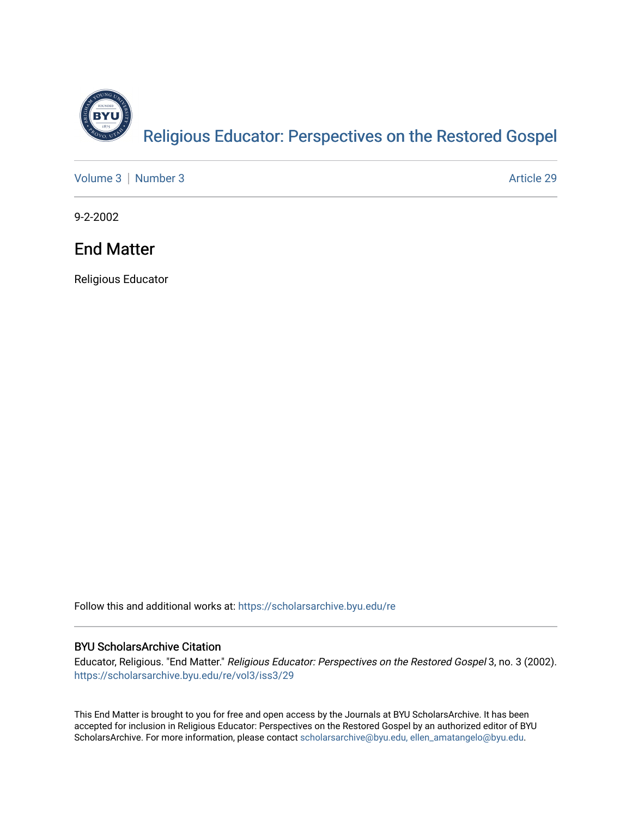

[Volume 3](https://scholarsarchive.byu.edu/re/vol3) | [Number 3](https://scholarsarchive.byu.edu/re/vol3/iss3) Article 29

9-2-2002

#### End Matter

Religious Educator

Follow this and additional works at: [https://scholarsarchive.byu.edu/re](https://scholarsarchive.byu.edu/re?utm_source=scholarsarchive.byu.edu%2Fre%2Fvol3%2Fiss3%2F29&utm_medium=PDF&utm_campaign=PDFCoverPages)

#### BYU ScholarsArchive Citation

Educator, Religious. "End Matter." Religious Educator: Perspectives on the Restored Gospel 3, no. 3 (2002). [https://scholarsarchive.byu.edu/re/vol3/iss3/29](https://scholarsarchive.byu.edu/re/vol3/iss3/29?utm_source=scholarsarchive.byu.edu%2Fre%2Fvol3%2Fiss3%2F29&utm_medium=PDF&utm_campaign=PDFCoverPages) 

This End Matter is brought to you for free and open access by the Journals at BYU ScholarsArchive. It has been accepted for inclusion in Religious Educator: Perspectives on the Restored Gospel by an authorized editor of BYU ScholarsArchive. For more information, please contact [scholarsarchive@byu.edu, ellen\\_amatangelo@byu.edu.](mailto:scholarsarchive@byu.edu,%20ellen_amatangelo@byu.edu)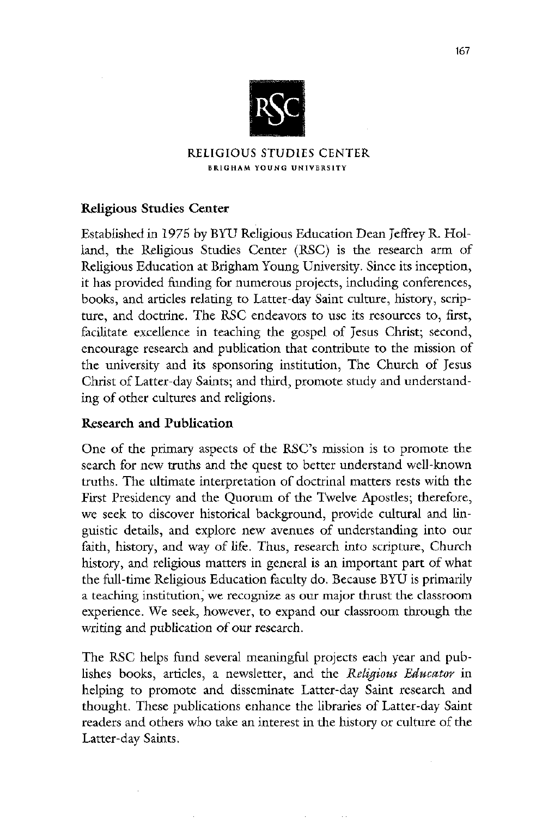

### RELIGIOUS STUDIES CENTER BRIGHAM YOUNG university

## Religious Studies Center

# Research and Publication

One of the primary aspects of the RSC's mission is to promote the search for new truths and the quest to better understand well-known truths. The ultimate interpretation of doctrinal matters rests with the First Presidency and the Quorum of the Twelve Apostles; therefore, we seek to discover historical background, provide cultural and linguistic details, and explore new avenues of understanding into our faith, history, and way of life. Thus, research into scripture, Church history, and religious matters in general is an important part of what the full-time Religious Education faculty do. Because BYU is primarily a teaching institution, we recognize as our major thrust the classroom experience. We seek, however, to expand our classroom through the writing and publication of our research.

The RSC helps fund several meaningful projects each year and publishes books, articles, a newsletter, and the Religious Educator in helping to promote and disseminate Latter-day Saint research and thought. These publications enhance the libraries of Latter-day Saint readers and others who take an interest in the history or culture of the Latter-day Saints.

Established in 1975 by BYU Religious Education Dean Jeffrey R. Holland, the Religious Studies Center (RSC) is the research arm of Religious Education at Brigham Young University. Since its inception, it has provided funding for numerous projects, including conferences, books, and articles relating to Latter-day Saint culture, history, scripture, and doctrine. The RSC endeavors to use its resources to, first, facilitate excellence in teaching the gospel of Jesus Christ; second, encourage research and publication that contribute to the mission of the university and its sponsoring institution, The Church of Jesus Christ of Latter-day Saints; and third, promote study and understanding of other cultures and religions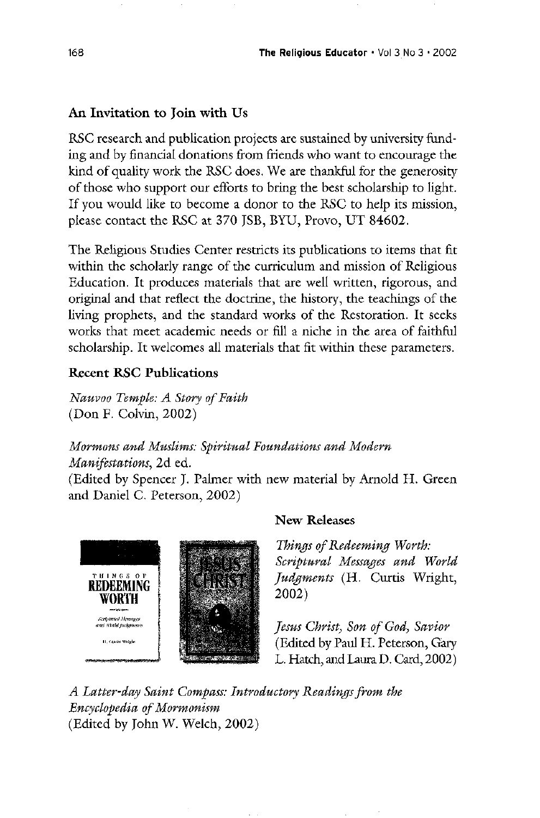## An Invitation to Join with Us

RSC research and publication projects are sustained by university funding and by financial donations from friends who want to encourage the kind of quality work the RSC does. We are thankful for the generosity of those who support our efforts to bring the best scholarship to light If you would like to become a donor to the RSC to help its mission, please contact the RSC at 370 JSB, BYU, Provo, UT 84602.

The Religious Studies Center restricts its publications to items that fit within the scholarly range of the curriculum and mission of Religious Education. It produces materials that are well written, rigorous, and original and that reflect the doctrine, the history, the teachings of the living prophets, and the standard works of the Restoration. It seeks works that meet academic needs or fill a niche in the area of faithful scholarship. It welcomes all materials that fit within these parameters.

## **Recent RSC Publications**

#### Nauvoo Temple: A Story of Faith

 $(Don F. Colvin, 2002)$ 

Mormons and Muslims: Spiritual Foundations and Modern Manifestations, 2d ed. (Edited by Spencer J. Palmer with new material by Arnold H. Green and Daniel C. Peterson, 2002)



## New Releases

Things of Redeeming Worth:<br>Scriptural Messages and World Judgments (H. Curtis Wright,

Jesus Christ, Son of God, Savior (Edited by Paul H. Peterson, Gary L. Hatch, and Laura D. Card, 2002)

A Latter-day Saint Compass: Introductory Readings from the Encyclopedia of Mormonism  $($ Edited by John W. Welch, 2002 $)$